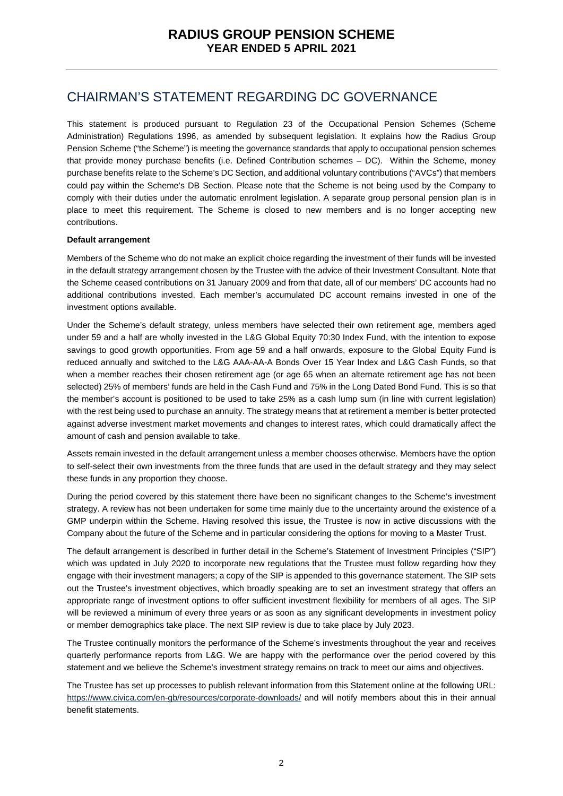### CHAIRMAN'S STATEMENT REGARDING DC GOVERNANCE

This statement is produced pursuant to Regulation 23 of the Occupational Pension Schemes (Scheme Administration) Regulations 1996, as amended by subsequent legislation. It explains how the Radius Group Pension Scheme ("the Scheme") is meeting the governance standards that apply to occupational pension schemes that provide money purchase benefits (i.e. Defined Contribution schemes – DC). Within the Scheme, money purchase benefits relate to the Scheme's DC Section, and additional voluntary contributions ("AVCs") that members could pay within the Scheme's DB Section. Please note that the Scheme is not being used by the Company to comply with their duties under the automatic enrolment legislation. A separate group personal pension plan is in place to meet this requirement. The Scheme is closed to new members and is no longer accepting new contributions.

#### **Default arrangement**

Members of the Scheme who do not make an explicit choice regarding the investment of their funds will be invested in the default strategy arrangement chosen by the Trustee with the advice of their Investment Consultant. Note that the Scheme ceased contributions on 31 January 2009 and from that date, all of our members' DC accounts had no additional contributions invested. Each member's accumulated DC account remains invested in one of the investment options available.

Under the Scheme's default strategy, unless members have selected their own retirement age, members aged under 59 and a half are wholly invested in the L&G Global Equity 70:30 Index Fund, with the intention to expose savings to good growth opportunities. From age 59 and a half onwards, exposure to the Global Equity Fund is reduced annually and switched to the L&G AAA-AA-A Bonds Over 15 Year Index and L&G Cash Funds, so that when a member reaches their chosen retirement age (or age 65 when an alternate retirement age has not been selected) 25% of members' funds are held in the Cash Fund and 75% in the Long Dated Bond Fund. This is so that the member's account is positioned to be used to take 25% as a cash lump sum (in line with current legislation) with the rest being used to purchase an annuity. The strategy means that at retirement a member is better protected against adverse investment market movements and changes to interest rates, which could dramatically affect the amount of cash and pension available to take.

Assets remain invested in the default arrangement unless a member chooses otherwise. Members have the option to self-select their own investments from the three funds that are used in the default strategy and they may select these funds in any proportion they choose.

During the period covered by this statement there have been no significant changes to the Scheme's investment strategy. A review has not been undertaken for some time mainly due to the uncertainty around the existence of a GMP underpin within the Scheme. Having resolved this issue, the Trustee is now in active discussions with the Company about the future of the Scheme and in particular considering the options for moving to a Master Trust.

The default arrangement is described in further detail in the Scheme's Statement of Investment Principles ("SIP") which was updated in July 2020 to incorporate new regulations that the Trustee must follow regarding how they engage with their investment managers; a copy of the SIP is appended to this governance statement. The SIP sets out the Trustee's investment objectives, which broadly speaking are to set an investment strategy that offers an appropriate range of investment options to offer sufficient investment flexibility for members of all ages. The SIP will be reviewed a minimum of every three years or as soon as any significant developments in investment policy or member demographics take place. The next SIP review is due to take place by July 2023.

The Trustee continually monitors the performance of the Scheme's investments throughout the year and receives quarterly performance reports from L&G. We are happy with the performance over the period covered by this statement and we believe the Scheme's investment strategy remains on track to meet our aims and objectives.

The Trustee has set up processes to publish relevant information from this Statement online at the following URL: https://www.civica.com/en-gb/resources/corporate-downloads/ and will notify members about this in their annual benefit statements.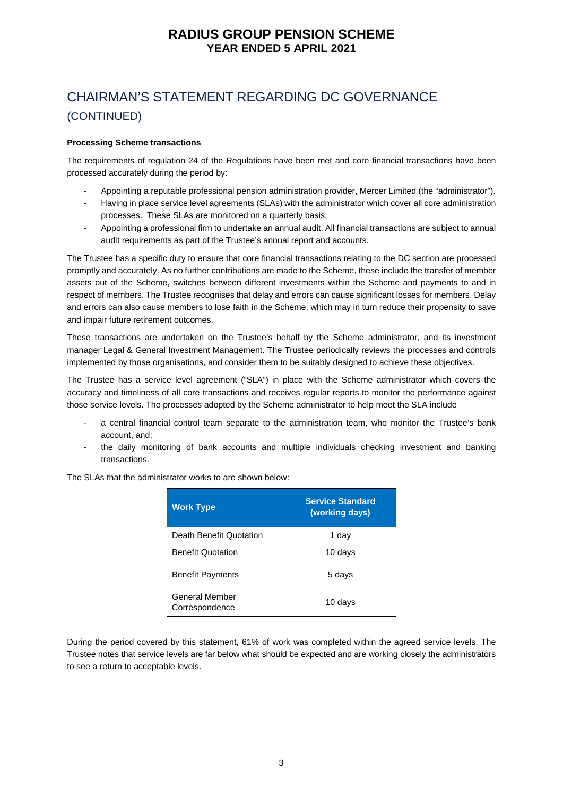#### **Processing Scheme transactions**

The requirements of regulation 24 of the Regulations have been met and core financial transactions have been processed accurately during the period by:

- Appointing a reputable professional pension administration provider, Mercer Limited (the "administrator").
- Having in place service level agreements (SLAs) with the administrator which cover all core administration processes. These SLAs are monitored on a quarterly basis.
- Appointing a professional firm to undertake an annual audit. All financial transactions are subject to annual audit requirements as part of the Trustee's annual report and accounts.

The Trustee has a specific duty to ensure that core financial transactions relating to the DC section are processed promptly and accurately. As no further contributions are made to the Scheme, these include the transfer of member assets out of the Scheme, switches between different investments within the Scheme and payments to and in respect of members. The Trustee recognises that delay and errors can cause significant losses for members. Delay and errors can also cause members to lose faith in the Scheme, which may in turn reduce their propensity to save and impair future retirement outcomes.

These transactions are undertaken on the Trustee's behalf by the Scheme administrator, and its investment manager Legal & General Investment Management. The Trustee periodically reviews the processes and controls implemented by those organisations, and consider them to be suitably designed to achieve these objectives.

The Trustee has a service level agreement ("SLA") in place with the Scheme administrator which covers the accuracy and timeliness of all core transactions and receives regular reports to monitor the performance against those service levels. The processes adopted by the Scheme administrator to help meet the SLA include

- a central financial control team separate to the administration team, who monitor the Trustee's bank account, and;
- the daily monitoring of bank accounts and multiple individuals checking investment and banking transactions.

| <b>Work Type</b>                        | <b>Service Standard</b><br>(working days) |  |  |
|-----------------------------------------|-------------------------------------------|--|--|
| Death Benefit Quotation                 | 1 day                                     |  |  |
| <b>Benefit Quotation</b>                | 10 days                                   |  |  |
| <b>Benefit Payments</b>                 | 5 days                                    |  |  |
| <b>General Member</b><br>Correspondence | 10 days                                   |  |  |

The SLAs that the administrator works to are shown below:

During the period covered by this statement, 61% of work was completed within the agreed service levels. The Trustee notes that service levels are far below what should be expected and are working closely the administrators to see a return to acceptable levels.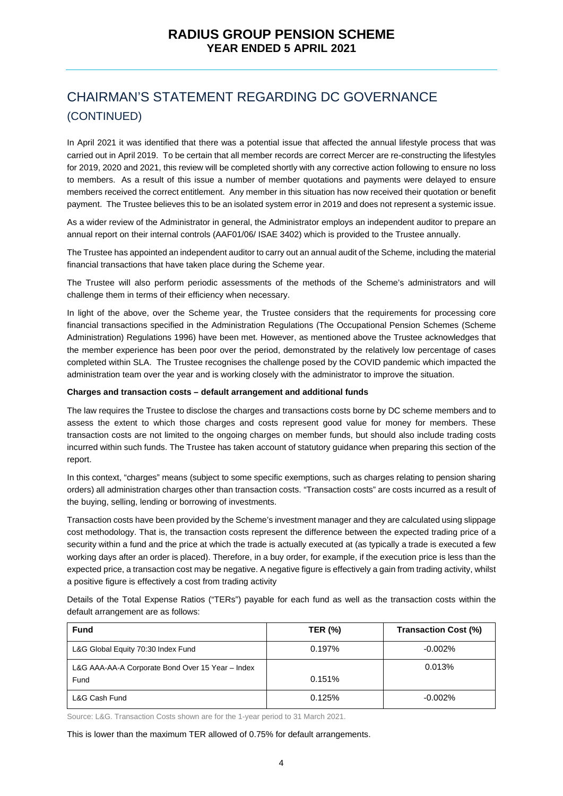In April 2021 it was identified that there was a potential issue that affected the annual lifestyle process that was carried out in April 2019. To be certain that all member records are correct Mercer are re-constructing the lifestyles for 2019, 2020 and 2021, this review will be completed shortly with any corrective action following to ensure no loss to members. As a result of this issue a number of member quotations and payments were delayed to ensure members received the correct entitlement. Any member in this situation has now received their quotation or benefit payment. The Trustee believes this to be an isolated system error in 2019 and does not represent a systemic issue.

As a wider review of the Administrator in general, the Administrator employs an independent auditor to prepare an annual report on their internal controls (AAF01/06/ ISAE 3402) which is provided to the Trustee annually.

The Trustee has appointed an independent auditor to carry out an annual audit of the Scheme, including the material financial transactions that have taken place during the Scheme year.

The Trustee will also perform periodic assessments of the methods of the Scheme's administrators and will challenge them in terms of their efficiency when necessary.

In light of the above, over the Scheme year, the Trustee considers that the requirements for processing core financial transactions specified in the Administration Regulations (The Occupational Pension Schemes (Scheme Administration) Regulations 1996) have been met. However, as mentioned above the Trustee acknowledges that the member experience has been poor over the period, demonstrated by the relatively low percentage of cases completed within SLA. The Trustee recognises the challenge posed by the COVID pandemic which impacted the administration team over the year and is working closely with the administrator to improve the situation.

#### **Charges and transaction costs – default arrangement and additional funds**

The law requires the Trustee to disclose the charges and transactions costs borne by DC scheme members and to assess the extent to which those charges and costs represent good value for money for members. These transaction costs are not limited to the ongoing charges on member funds, but should also include trading costs incurred within such funds. The Trustee has taken account of statutory guidance when preparing this section of the report.

In this context, "charges" means (subject to some specific exemptions, such as charges relating to pension sharing orders) all administration charges other than transaction costs. "Transaction costs" are costs incurred as a result of the buying, selling, lending or borrowing of investments.

Transaction costs have been provided by the Scheme's investment manager and they are calculated using slippage cost methodology. That is, the transaction costs represent the difference between the expected trading price of a security within a fund and the price at which the trade is actually executed at (as typically a trade is executed a few working days after an order is placed). Therefore, in a buy order, for example, if the execution price is less than the expected price, a transaction cost may be negative. A negative figure is effectively a gain from trading activity, whilst a positive figure is effectively a cost from trading activity

Details of the Total Expense Ratios ("TERs") payable for each fund as well as the transaction costs within the default arrangement are as follows:

| <b>Fund</b>                                      | <b>TER (%)</b> | Transaction Cost (%) |
|--------------------------------------------------|----------------|----------------------|
| L&G Global Equity 70:30 Index Fund               | 0.197%         | $-0.002\%$           |
| L&G AAA-AA-A Corporate Bond Over 15 Year - Index |                | 0.013%               |
| Fund                                             | 0.151%         |                      |
| L&G Cash Fund                                    | 0.125%         | $-0.002\%$           |

Source: L&G. Transaction Costs shown are for the 1-year period to 31 March 2021.

This is lower than the maximum TER allowed of 0.75% for default arrangements.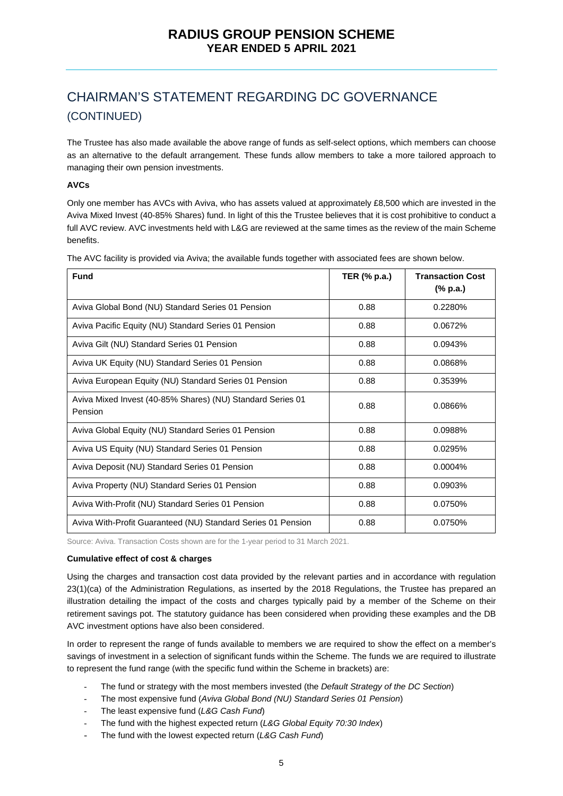The Trustee has also made available the above range of funds as self-select options, which members can choose as an alternative to the default arrangement. These funds allow members to take a more tailored approach to managing their own pension investments.

### **AVCs**

Only one member has AVCs with Aviva, who has assets valued at approximately £8,500 which are invested in the Aviva Mixed Invest (40-85% Shares) fund. In light of this the Trustee believes that it is cost prohibitive to conduct a full AVC review. AVC investments held with L&G are reviewed at the same times as the review of the main Scheme benefits.

| <b>Fund</b>                                                           | TER (% p.a.) | <b>Transaction Cost</b><br>(% p.a.) |
|-----------------------------------------------------------------------|--------------|-------------------------------------|
| Aviva Global Bond (NU) Standard Series 01 Pension                     | 0.88         | 0.2280%                             |
| Aviva Pacific Equity (NU) Standard Series 01 Pension                  | 0.88         | 0.0672%                             |
| Aviva Gilt (NU) Standard Series 01 Pension                            | 0.88         | 0.0943%                             |
| Aviva UK Equity (NU) Standard Series 01 Pension                       | 0.88         | 0.0868%                             |
| Aviva European Equity (NU) Standard Series 01 Pension                 | 0.88         | 0.3539%                             |
| Aviva Mixed Invest (40-85% Shares) (NU) Standard Series 01<br>Pension | 0.88         | 0.0866%                             |
| Aviva Global Equity (NU) Standard Series 01 Pension                   | 0.88         | 0.0988%                             |
| Aviva US Equity (NU) Standard Series 01 Pension                       | 0.88         | 0.0295%                             |
| Aviva Deposit (NU) Standard Series 01 Pension                         | 0.88         | 0.0004%                             |
| Aviva Property (NU) Standard Series 01 Pension                        | 0.88         | 0.0903%                             |
| Aviva With-Profit (NU) Standard Series 01 Pension                     | 0.88         | 0.0750%                             |
| Aviva With-Profit Guaranteed (NU) Standard Series 01 Pension          | 0.88         | 0.0750%                             |

The AVC facility is provided via Aviva; the available funds together with associated fees are shown below.

Source: Aviva. Transaction Costs shown are for the 1-year period to 31 March 2021.

#### **Cumulative effect of cost & charges**

Using the charges and transaction cost data provided by the relevant parties and in accordance with regulation 23(1)(ca) of the Administration Regulations, as inserted by the 2018 Regulations, the Trustee has prepared an illustration detailing the impact of the costs and charges typically paid by a member of the Scheme on their retirement savings pot. The statutory guidance has been considered when providing these examples and the DB AVC investment options have also been considered.

In order to represent the range of funds available to members we are required to show the effect on a member's savings of investment in a selection of significant funds within the Scheme. The funds we are required to illustrate to represent the fund range (with the specific fund within the Scheme in brackets) are:

- The fund or strategy with the most members invested (the *Default Strategy of the DC Section*)
- The most expensive fund (*Aviva Global Bond (NU) Standard Series 01 Pension*)
- The least expensive fund (*L&G Cash Fund*)
- The fund with the highest expected return (*L&G Global Equity 70:30 Index*)
- The fund with the lowest expected return (*L&G Cash Fund*)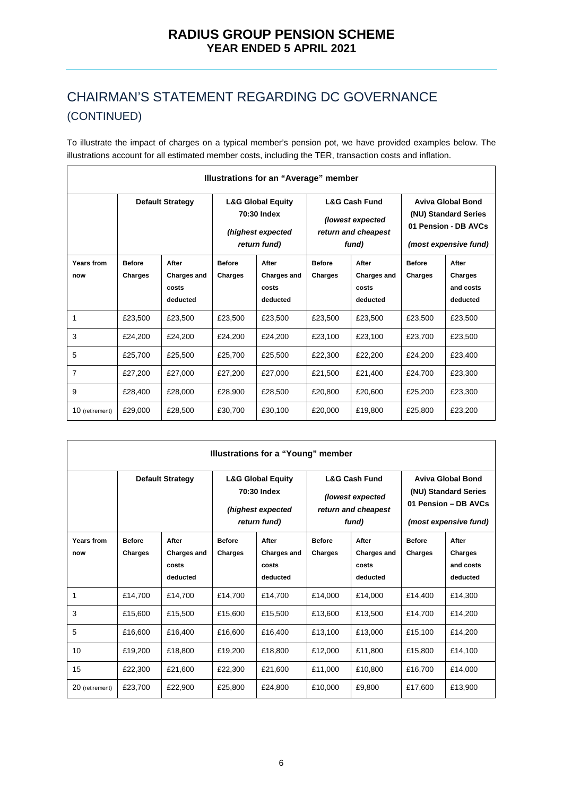To illustrate the impact of charges on a typical member's pension pot, we have provided examples below. The illustrations account for all estimated member costs, including the TER, transaction costs and inflation.

| Illustrations for an "Average" member |                          |                                                  |                                                                                  |                                                  |                                                                              |                                                  |                                                                                                   |                                           |
|---------------------------------------|--------------------------|--------------------------------------------------|----------------------------------------------------------------------------------|--------------------------------------------------|------------------------------------------------------------------------------|--------------------------------------------------|---------------------------------------------------------------------------------------------------|-------------------------------------------|
|                                       |                          | <b>Default Strategy</b>                          | <b>L&amp;G Global Equity</b><br>70:30 Index<br>(highest expected<br>return fund) |                                                  | <b>L&amp;G Cash Fund</b><br>(lowest expected<br>return and cheapest<br>fund) |                                                  | <b>Aviva Global Bond</b><br>(NU) Standard Series<br>01 Pension - DB AVCs<br>(most expensive fund) |                                           |
| Years from<br>now                     | <b>Before</b><br>Charges | After<br><b>Charges and</b><br>costs<br>deducted | <b>Before</b><br>Charges                                                         | After<br><b>Charges and</b><br>costs<br>deducted | <b>Before</b><br>Charges                                                     | After<br><b>Charges and</b><br>costs<br>deducted | <b>Before</b><br>Charges                                                                          | After<br>Charges<br>and costs<br>deducted |
| 1                                     | £23,500                  | £23,500                                          | £23,500                                                                          | £23,500                                          | £23,500                                                                      | £23.500                                          | £23.500                                                                                           | £23,500                                   |
| 3                                     | £24,200                  | £24.200                                          | £24,200                                                                          | £24,200                                          | £23,100                                                                      | £23,100                                          | £23,700                                                                                           | £23.500                                   |
| 5                                     | £25,700                  | £25,500                                          | £25,700                                                                          | £25,500                                          | £22,300                                                                      | £22,200                                          | £24,200                                                                                           | £23,400                                   |
| $\overline{7}$                        | £27,200                  | £27.000                                          | £27,200                                                                          | £27,000                                          | £21,500                                                                      | £21,400                                          | £24.700                                                                                           | £23,300                                   |
| 9                                     | £28,400                  | £28,000                                          | £28.900                                                                          | £28,500                                          | £20,800                                                                      | £20,600                                          | £25,200                                                                                           | £23.300                                   |
| 10 (retirement)                       | £29,000                  | £28,500                                          | £30,700                                                                          | £30,100                                          | £20,000                                                                      | £19,800                                          | £25,800                                                                                           | £23,200                                   |

| Illustrations for a "Young" member |                          |                                                  |                                                                                  |                                                  |                                                                              |                                                  |                                                                                                   |                                                  |
|------------------------------------|--------------------------|--------------------------------------------------|----------------------------------------------------------------------------------|--------------------------------------------------|------------------------------------------------------------------------------|--------------------------------------------------|---------------------------------------------------------------------------------------------------|--------------------------------------------------|
|                                    |                          | <b>Default Strategy</b>                          | <b>L&amp;G Global Equity</b><br>70:30 Index<br>(highest expected<br>return fund) |                                                  | <b>L&amp;G Cash Fund</b><br>(lowest expected<br>return and cheapest<br>fund) |                                                  | <b>Aviva Global Bond</b><br>(NU) Standard Series<br>01 Pension - DB AVCs<br>(most expensive fund) |                                                  |
| Years from<br>now                  | <b>Before</b><br>Charges | After<br><b>Charges and</b><br>costs<br>deducted | <b>Before</b><br>Charges                                                         | After<br><b>Charges and</b><br>costs<br>deducted | <b>Before</b><br>Charges                                                     | After<br><b>Charges and</b><br>costs<br>deducted | <b>Before</b><br>Charges                                                                          | After<br><b>Charges</b><br>and costs<br>deducted |
| 1                                  | £14,700                  | £14.700                                          | £14,700                                                                          | £14.700                                          | £14.000                                                                      | £14.000                                          | £14.400                                                                                           | £14.300                                          |
| 3                                  | £15,600                  | £15,500                                          | £15,600                                                                          | £15,500                                          | £13,600                                                                      | £13,500                                          | £14.700                                                                                           | £14.200                                          |
| 5                                  | £16,600                  | £16,400                                          | £16,600                                                                          | £16,400                                          | £13,100                                                                      | £13,000                                          | £15.100                                                                                           | £14.200                                          |
| 10                                 | £19,200                  | £18,800                                          | £19,200                                                                          | £18,800                                          | £12,000                                                                      | £11,800                                          | £15,800                                                                                           | £14.100                                          |
| 15                                 | £22,300                  | £21.600                                          | £22,300                                                                          | £21.600                                          | £11,000                                                                      | £10,800                                          | £16,700                                                                                           | £14.000                                          |
| 20 (retirement)                    | £23,700                  | £22,900                                          | £25,800                                                                          | £24,800                                          | £10.000                                                                      | £9.800                                           | £17.600                                                                                           | £13.900                                          |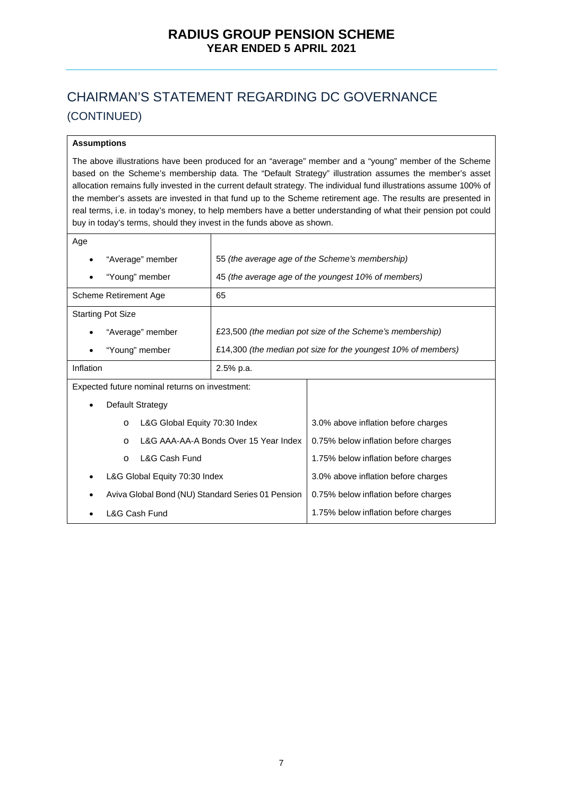#### **Assumptions**

The above illustrations have been produced for an "average" member and a "young" member of the Scheme based on the Scheme's membership data. The "Default Strategy" illustration assumes the member's asset allocation remains fully invested in the current default strategy. The individual fund illustrations assume 100% of the member's assets are invested in that fund up to the Scheme retirement age. The results are presented in real terms, i.e. in today's money, to help members have a better understanding of what their pension pot could buy in today's terms, should they invest in the funds above as shown.

| Age                                               |                                       |                                                               |  |  |
|---------------------------------------------------|---------------------------------------|---------------------------------------------------------------|--|--|
| "Average" member                                  |                                       | 55 (the average age of the Scheme's membership)               |  |  |
| "Young" member                                    |                                       | 45 (the average age of the youngest 10% of members)           |  |  |
| Scheme Retirement Age                             | 65                                    |                                                               |  |  |
| <b>Starting Pot Size</b>                          |                                       |                                                               |  |  |
| "Average" member                                  |                                       | £23,500 (the median pot size of the Scheme's membership)      |  |  |
| "Young" member                                    |                                       | £14,300 (the median pot size for the youngest 10% of members) |  |  |
| Inflation<br>2.5% p.a.                            |                                       |                                                               |  |  |
| Expected future nominal returns on investment:    |                                       |                                                               |  |  |
| <b>Default Strategy</b><br>٠                      |                                       |                                                               |  |  |
| $\circ$                                           | L&G Global Equity 70:30 Index         | 3.0% above inflation before charges                           |  |  |
| $\Omega$                                          | L&G AAA-AA-A Bonds Over 15 Year Index | 0.75% below inflation before charges                          |  |  |
| <b>L&amp;G Cash Fund</b><br>$\circ$               |                                       | 1.75% below inflation before charges                          |  |  |
| L&G Global Equity 70:30 Index                     |                                       | 3.0% above inflation before charges                           |  |  |
| Aviva Global Bond (NU) Standard Series 01 Pension |                                       | 0.75% below inflation before charges                          |  |  |
| L&G Cash Fund                                     |                                       | 1.75% below inflation before charges                          |  |  |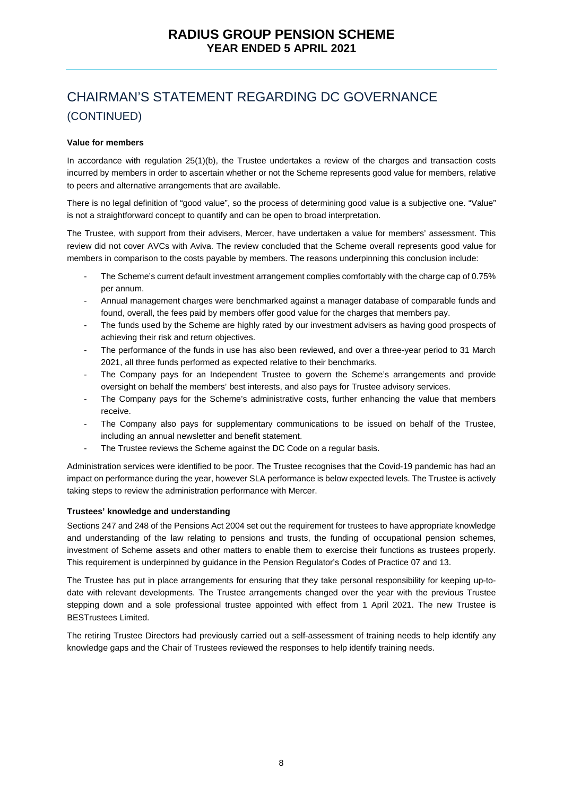#### **Value for members**

In accordance with regulation 25(1)(b), the Trustee undertakes a review of the charges and transaction costs incurred by members in order to ascertain whether or not the Scheme represents good value for members, relative to peers and alternative arrangements that are available.

There is no legal definition of "good value", so the process of determining good value is a subjective one. "Value" is not a straightforward concept to quantify and can be open to broad interpretation.

The Trustee, with support from their advisers, Mercer, have undertaken a value for members' assessment. This review did not cover AVCs with Aviva. The review concluded that the Scheme overall represents good value for members in comparison to the costs payable by members. The reasons underpinning this conclusion include:

- The Scheme's current default investment arrangement complies comfortably with the charge cap of 0.75% per annum.
- Annual management charges were benchmarked against a manager database of comparable funds and found, overall, the fees paid by members offer good value for the charges that members pay.
- The funds used by the Scheme are highly rated by our investment advisers as having good prospects of achieving their risk and return objectives.
- The performance of the funds in use has also been reviewed, and over a three-year period to 31 March 2021, all three funds performed as expected relative to their benchmarks.
- The Company pays for an Independent Trustee to govern the Scheme's arrangements and provide oversight on behalf the members' best interests, and also pays for Trustee advisory services.
- The Company pays for the Scheme's administrative costs, further enhancing the value that members receive.
- The Company also pays for supplementary communications to be issued on behalf of the Trustee, including an annual newsletter and benefit statement.
- The Trustee reviews the Scheme against the DC Code on a regular basis.

Administration services were identified to be poor. The Trustee recognises that the Covid-19 pandemic has had an impact on performance during the year, however SLA performance is below expected levels. The Trustee is actively taking steps to review the administration performance with Mercer.

#### **Trustees' knowledge and understanding**

Sections 247 and 248 of the Pensions Act 2004 set out the requirement for trustees to have appropriate knowledge and understanding of the law relating to pensions and trusts, the funding of occupational pension schemes, investment of Scheme assets and other matters to enable them to exercise their functions as trustees properly. This requirement is underpinned by guidance in the Pension Regulator's Codes of Practice 07 and 13.

The Trustee has put in place arrangements for ensuring that they take personal responsibility for keeping up-todate with relevant developments. The Trustee arrangements changed over the year with the previous Trustee stepping down and a sole professional trustee appointed with effect from 1 April 2021. The new Trustee is BESTrustees Limited.

The retiring Trustee Directors had previously carried out a self-assessment of training needs to help identify any knowledge gaps and the Chair of Trustees reviewed the responses to help identify training needs.